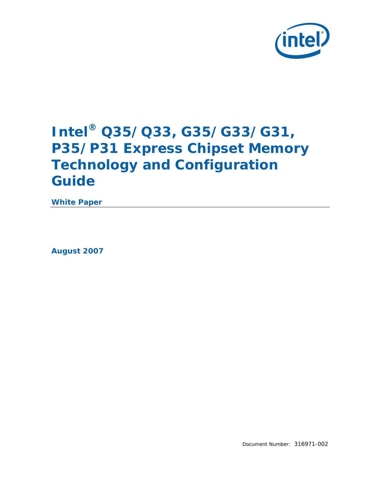

## **Intel® Q35/Q33, G35/G33/G31, P35/P31 Express Chipset Memory Technology and Configuration Guide**

**White Paper** 

*August 2007* 

Document Number: 316971-002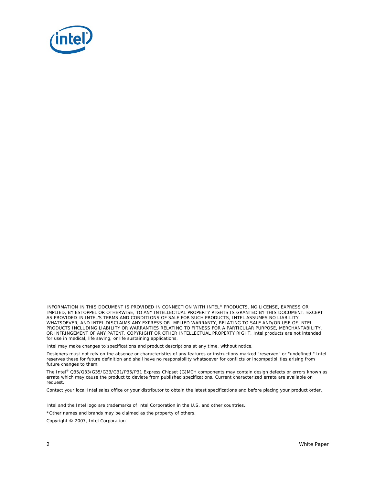

INFORMATION IN THIS DOCUMENT IS PROVIDED IN CONNECTION WITH INTEL® PRODUCTS. NO LICENSE, EXPRESS OR IMPLIED, BY ESTOPPEL OR OTHERWISE, TO ANY INTELLECTUAL PROPERTY RIGHTS IS GRANTED BY THIS DOCUMENT. EXCEPT AS PROVIDED IN INTEL'S TERMS AND CONDITIONS OF SALE FOR SUCH PRODUCTS, INTEL ASSUMES NO LIABILITY WHATSOEVER, AND INTEL DISCLAIMS ANY EXPRESS OR IMPLIED WARRANTY, RELATING TO SALE AND/OR USE OF INTEL PRODUCTS INCLUDING LIABILITY OR WARRANTIES RELATING TO FITNESS FOR A PARTICULAR PURPOSE, MERCHANTABILITY, OR INFRINGEMENT OF ANY PATENT, COPYRIGHT OR OTHER INTELLECTUAL PROPERTY RIGHT. Intel products are not intended for use in medical, life saving, or life sustaining applications.

Intel may make changes to specifications and product descriptions at any time, without notice.

Designers must not rely on the absence or characteristics of any features or instructions marked "reserved" or "undefined." Intel reserves these for future definition and shall have no responsibility whatsoever for conflicts or incompatibilities arising from future changes to them.

The Intel® Q35/Q33/G35/G33/G31/P35/P31 Express Chipset (G)MCH components may contain design defects or errors known as errata which may cause the product to deviate from published specifications. Current characterized errata are available on request.

Contact your local Intel sales office or your distributor to obtain the latest specifications and before placing your product order.

Intel and the Intel logo are trademarks of Intel Corporation in the U.S. and other countries.

\*Other names and brands may be claimed as the property of others.

Copyright © 2007, Intel Corporation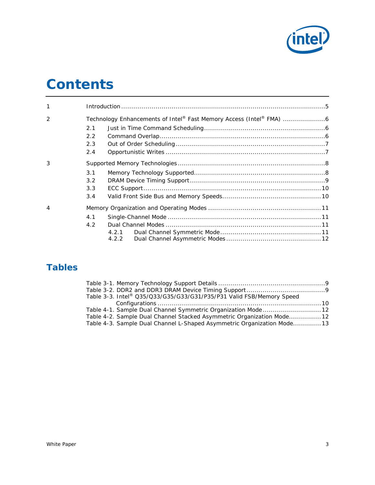

## *Contents*

| $\mathbf{1}$   |               |                                                                   |  |  |  |  |
|----------------|---------------|-------------------------------------------------------------------|--|--|--|--|
| $\mathcal{P}$  |               | Technology Enhancements of Intel® Fast Memory Access (Intel® FMA) |  |  |  |  |
|                | 2.1           |                                                                   |  |  |  |  |
|                | $2.2^{\circ}$ |                                                                   |  |  |  |  |
|                | 2.3           |                                                                   |  |  |  |  |
|                | 2.4           |                                                                   |  |  |  |  |
| 3              |               |                                                                   |  |  |  |  |
|                | 3.1           |                                                                   |  |  |  |  |
|                | 3.2           |                                                                   |  |  |  |  |
|                | 3.3           |                                                                   |  |  |  |  |
|                | 3.4           |                                                                   |  |  |  |  |
| $\overline{4}$ |               |                                                                   |  |  |  |  |
|                | 4.1           |                                                                   |  |  |  |  |
|                | 4.2           |                                                                   |  |  |  |  |
|                |               | 4.2.1                                                             |  |  |  |  |
|                |               | 4.2.2                                                             |  |  |  |  |

## **Tables**

| Table 3-3. Intel® Q35/Q33/G35/G33/G31/P35/P31 Valid FSB/Memory Speed   |  |
|------------------------------------------------------------------------|--|
|                                                                        |  |
| Table 4-1. Sample Dual Channel Symmetric Organization Mode 12          |  |
| Table 4-2. Sample Dual Channel Stacked Asymmetric Organization Mode 12 |  |
| Table 4-3. Sample Dual Channel L-Shaped Asymmetric Organization Mode13 |  |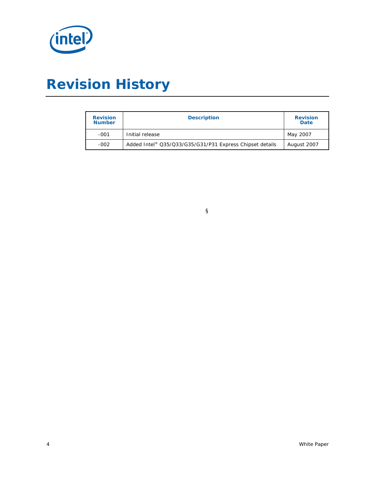

# *Revision History*

| <b>Revision</b><br><b>Number</b> | <b>Description</b>                                       | <b>Revision</b><br><b>Date</b> |
|----------------------------------|----------------------------------------------------------|--------------------------------|
| $-001$                           | Initial release                                          | May 2007                       |
| $-002$                           | Added Intel® Q35/Q33/G35/G31/P31 Express Chipset details | August 2007                    |

§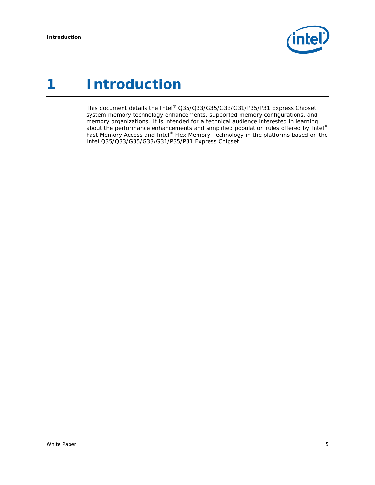

## <span id="page-4-0"></span>*1 Introduction*

This document details the Intel® Q35/Q33/G35/G33/G31/P35/P31 Express Chipset system memory technology enhancements, supported memory configurations, and memory organizations. It is intended for a technical audience interested in learning about the performance enhancements and simplified population rules offered by Intel® Fast Memory Access and Intel® Flex Memory Technology in the platforms based on the Intel Q35/Q33/G35/G33/G31/P35/P31 Express Chipset.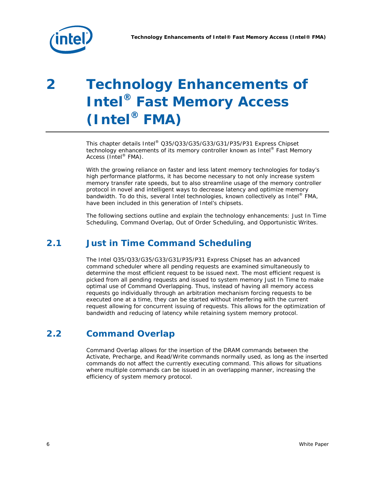<span id="page-5-0"></span>

# *2 Technology Enhancements of Intel® Fast Memory Access (Intel® FMA)*

This chapter details Intel® Q35/Q33/G35/G33/G31/P35/P31 Express Chipset technology enhancements of its memory controller known as Intel® Fast Memory Access (Intel® FMA).

With the growing reliance on faster and less latent memory technologies for today's high performance platforms, it has become necessary to not only increase system memory transfer rate speeds, but to also streamline usage of the memory controller protocol in novel and intelligent ways to decrease latency and optimize memory bandwidth. To do this, several Intel technologies, known collectively as Intel® FMA, have been included in this generation of Intel's chipsets.

The following sections outline and explain the technology enhancements: Just In Time Scheduling, Command Overlap, Out of Order Scheduling, and Opportunistic Writes.

## **2.1 Just in Time Command Scheduling**

The Intel Q35/Q33/G35/G33/G31/P35/P31 Express Chipset has an advanced command scheduler where all pending requests are examined simultaneously to determine the most efficient request to be issued next. The most efficient request is picked from all pending requests and issued to system memory Just In Time to make optimal use of Command Overlapping. Thus, instead of having all memory access requests go individually through an arbitration mechanism forcing requests to be executed one at a time, they can be started without interfering with the current request allowing for concurrent issuing of requests. This allows for the optimization of bandwidth and reducing of latency while retaining system memory protocol.

### **2.2 Command Overlap**

Command Overlap allows for the insertion of the DRAM commands between the Activate, Precharge, and Read/Write commands normally used, as long as the inserted commands do not affect the currently executing command. This allows for situations where multiple commands can be issued in an overlapping manner, increasing the efficiency of system memory protocol.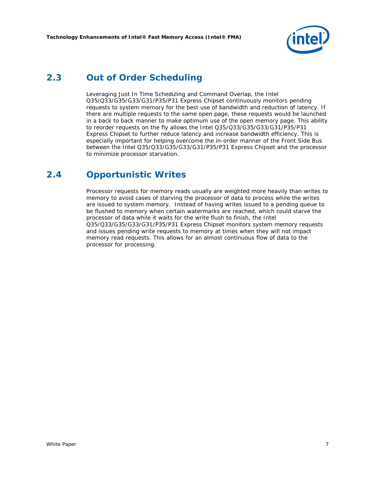

### <span id="page-6-0"></span>**2.3 Out of Order Scheduling**

Leveraging Just In Time Scheduling and Command Overlap, the Intel Q35/Q33/G35/G33/G31/P35/P31 Express Chipset continuously monitors pending requests to system memory for the best use of bandwidth and reduction of latency. If there are multiple requests to the same open page, these requests would be launched in a back to back manner to make optimum use of the open memory page. This ability to reorder requests on the fly allows the Intel Q35/Q33/G35/G33/G31/P35/P31 Express Chipset to further reduce latency and increase bandwidth efficiency. This is especially important for helping overcome the in-order manner of the Front Side Bus between the Intel Q35/Q33/G35/G33/G31/P35/P31 Express Chipset and the processor to minimize processor starvation.

### **2.4 Opportunistic Writes**

Processor requests for memory reads usually are weighted more heavily than writes to memory to avoid cases of starving the processor of data to process while the writes are issued to system memory. Instead of having writes issued to a pending queue to be flushed to memory when certain watermarks are reached, which could starve the processor of data while it waits for the write flush to finish, the Intel Q35/Q33/G35/G33/G31/P35/P31 Express Chipset monitors system memory requests and issues pending write requests to memory at times when they will not impact memory read requests. This allows for an almost continuous flow of data to the processor for processing.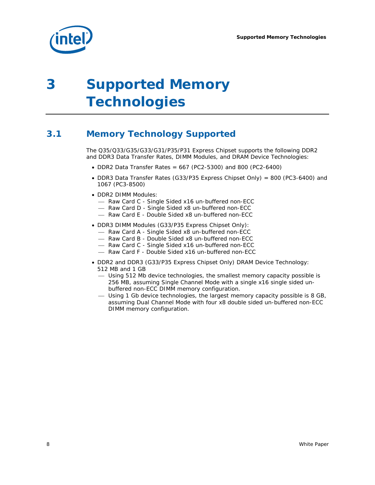<span id="page-7-0"></span>

# *3 Supported Memory Technologies*

## **3.1 Memory Technology Supported**

The Q35/Q33/G35/G33/G31/P35/P31 Express Chipset supports the following DDR2 and DDR3 Data Transfer Rates, DIMM Modules, and DRAM Device Technologies:

- DDR2 Data Transfer Rates = 667 (PC2-5300) and 800 (PC2-6400)
- DDR3 Data Transfer Rates (G33/P35 Express Chipset Only) = 800 (PC3-6400) and 1067 (PC3-8500)
- DDR2 DIMM Modules:
	- Raw Card C Single Sided x16 un-buffered non-ECC
	- Raw Card D Single Sided x8 un-buffered non-ECC
	- Raw Card E Double Sided x8 un-buffered non-ECC
- DDR3 DIMM Modules (G33/P35 Express Chipset Only):
	- Raw Card A Single Sided x8 un-buffered non-ECC
	- Raw Card B Double Sided x8 un-buffered non-ECC
	- Raw Card C Single Sided x16 un-buffered non-ECC
	- Raw Card F Double Sided x16 un-buffered non-ECC
- DDR2 and DDR3 (G33/P35 Express Chipset Only) DRAM Device Technology: 512 MB and 1 GB
	- ⎯ Using 512 Mb device technologies, the smallest memory capacity possible is 256 MB, assuming Single Channel Mode with a single x16 single sided unbuffered non-ECC DIMM memory configuration.
	- ⎯ Using 1 Gb device technologies, the largest memory capacity possible is 8 GB, assuming Dual Channel Mode with four x8 double sided un-buffered non-ECC DIMM memory configuration.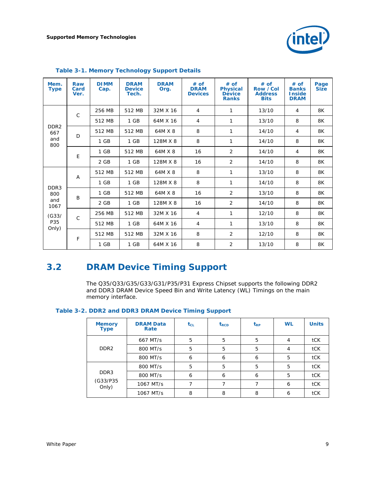

| Mem.<br><b>Type</b>     | Raw<br>Card<br>Ver. | <b>DIMM</b><br>Cap. | <b>DRAM</b><br><b>Device</b><br>Tech. | <b>DRAM</b><br>Org. | # of<br><b>DRAM</b><br><b>Devices</b> | # of<br><b>Physical</b><br><b>Device</b><br><b>Ranks</b> | # of<br>Row /Col<br><b>Address</b><br><b>Bits</b> | # of<br><b>Banks</b><br><b>Inside</b><br><b>DRAM</b> | Page<br><b>Size</b> |
|-------------------------|---------------------|---------------------|---------------------------------------|---------------------|---------------------------------------|----------------------------------------------------------|---------------------------------------------------|------------------------------------------------------|---------------------|
|                         | $\mathsf{C}$        | 256 MB              | 512 MB                                | 32M X 16            | $\overline{4}$                        | 1                                                        | 13/10                                             | $\overline{4}$                                       | 8K                  |
|                         |                     | 512 MB              | 1 GB                                  | 64M X 16            | $\overline{4}$                        | $\mathbf{1}$                                             | 13/10                                             | 8                                                    | 8K                  |
| DDR <sub>2</sub><br>667 | D                   | 512 MB              | 512 MB                                | 64M X 8             | 8                                     | 1                                                        | 14/10                                             | 4                                                    | 8K                  |
| and<br>800              |                     | 1 GB                | 1 GB                                  | 128M X 8            | 8                                     | $\mathbf{1}$                                             | 14/10                                             | 8                                                    | 8K                  |
|                         | E                   | $1$ GB              | 512 MB                                | 64M X 8             | 16                                    | 2                                                        | 14/10                                             | $\overline{4}$                                       | 8K                  |
|                         |                     | 2 GB                | $1$ GB                                | 128M X 8            | 16                                    | 2                                                        | 14/10                                             | 8                                                    | 8K                  |
|                         | A                   | 512 MB              | 512 MB                                | 64M X 8             | 8                                     | $\mathbf{1}$                                             | 13/10                                             | 8                                                    | 8K                  |
| DDR <sub>3</sub>        |                     | 1 GB                | 1 GB                                  | 128M X 8            | 8                                     | $\mathbf{1}$                                             | 14/10                                             | 8                                                    | 8K                  |
| 800                     | B                   | 1 GB                | 512 MB                                | 64M X 8             | 16                                    | 2                                                        | 13/10                                             | 8                                                    | 8K                  |
| and<br>1067             |                     | 2 GB                | 1 GB                                  | 128M X 8            | 16                                    | 2                                                        | 14/10                                             | 8                                                    | 8K                  |
| (G33/                   | $\mathsf{C}$        | 256 MB              | 512 MB                                | 32M X 16            | $\overline{4}$                        | 1                                                        | 12/10                                             | 8                                                    | 8K                  |
| P35<br>Only)            |                     | 512 MB              | 1 GB                                  | 64M X 16            | $\overline{4}$                        | $\mathbf{1}$                                             | 13/10                                             | 8                                                    | 8K                  |
|                         | F                   | 512 MB              | 512 MB                                | 32M X 16            | 8                                     | 2                                                        | 12/10                                             | 8                                                    | 8K                  |
|                         |                     | 1 GB                | 1 GB                                  | 64M X 16            | 8                                     | 2                                                        | 13/10                                             | 8                                                    | 8K                  |

#### <span id="page-8-0"></span>**Table 3-1. Memory Technology Support Details**

### **3.2 DRAM Device Timing Support**

The Q35/Q33/G35/G33/G31/P35/P31 Express Chipset supports the following DDR2 and DDR3 DRAM Device Speed Bin and Write Latency (WL) Timings on the main memory interface.

**Table 3-2. DDR2 and DDR3 DRAM Device Timing Support** 

| <b>Memory</b><br><b>Type</b> | <b>DRAM Data</b><br>Rate | $t_{CL}$ | t <sub>RCD</sub> | $t_{RP}$ | <b>WL</b> | <b>Units</b> |
|------------------------------|--------------------------|----------|------------------|----------|-----------|--------------|
|                              | 667 MT/s                 | 5        | 5                | 5        | 4         | tCK          |
| DDR <sub>2</sub>             | 800 MT/s                 | 5        | 5                | 5        | 4         | tCK          |
|                              | 800 MT/s                 | 6        | 6                | 6        | 5         | tCK          |
|                              | 800 MT/s                 | 5        | 5                | 5        | 5         | tCK          |
| DDR <sub>3</sub>             | 800 MT/s                 | 6        | 6                | 6        | 5         | tCK          |
| (G33/P35<br>Only)            | 1067 MT/s                |          |                  |          | 6         | tCK          |
|                              | 1067 MT/s                | 8        | 8                | 8        | 6         | tCK          |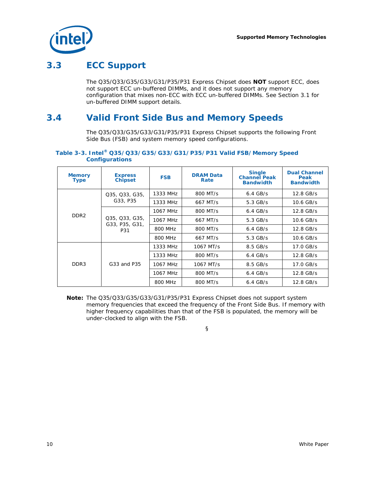<span id="page-9-0"></span>

### **3.3 ECC Support**

The Q35/Q33/G35/G33/G31/P35/P31 Express Chipset does **NOT** support ECC, does not support ECC un-buffered DIMMs, and it does not support any memory configuration that mixes non-ECC with ECC un-buffered DIMMs. See Section [3.1](#page-7-0) for un-buffered DIMM support details.

### **3.4 Valid Front Side Bus and Memory Speeds**

The Q35/Q33/G35/G33/G31/P35/P31 Express Chipset supports the following Front Side Bus (FSB) and system memory speed configurations.

#### **Table 3-3. Intel® Q35/Q33/G35/G33/G31/P35/P31 Valid FSB/Memory Speed Configurations**

| <b>Memory</b><br><b>Type</b> | <b>Express</b><br><b>Chipset</b>        | <b>FSB</b> | <b>DRAM Data</b><br>Rate | <b>Single</b><br><b>Channel Peak</b><br><b>Bandwidth</b> | <b>Dual Channel</b><br>Peak<br><b>Bandwidth</b> |
|------------------------------|-----------------------------------------|------------|--------------------------|----------------------------------------------------------|-------------------------------------------------|
|                              | Q35, Q33, G35,                          | 1333 MHz   | 800 MT/s                 | $6.4$ GB/s                                               | 12.8 GB/s                                       |
|                              | G33, P35                                | 1333 MHz   | 667 MT/s                 | $5.3$ GB/s                                               | 10.6 GB/s                                       |
| DDR <sub>2</sub>             | Q35, Q33, G35,<br>G33, P35, G31,<br>P31 | 1067 MHz   | 800 MT/s                 | $6.4$ GB/s                                               | 12.8 GB/s                                       |
|                              |                                         | 1067 MHz   | 667 MT/s                 | $5.3$ GB/s                                               | 10.6 GB/s                                       |
|                              |                                         | 800 MHz    | 800 MT/s                 | $6.4$ GB/s                                               | 12.8 GB/s                                       |
|                              |                                         | 800 MHz    | 667 MT/s                 | $5.3$ GB/s                                               | 10.6 GB/s                                       |
|                              |                                         | 1333 MHz   | 1067 MT/s                | $8.5$ GB/s                                               | 17.0 GB/s                                       |
|                              | G33 and P35                             | 1333 MHz   | 800 MT/s                 | $6.4$ GB/s                                               | 12.8 GB/s                                       |
| DDR <sub>3</sub>             |                                         | 1067 MHz   | 1067 MT/s                | $8.5$ GB/s                                               | 17.0 GB/s                                       |
|                              |                                         | 1067 MHz   | 800 MT/s                 | $6.4$ GB/s                                               | 12.8 GB/s                                       |
|                              |                                         | 800 MHz    | 800 MT/s                 | $6.4$ GB/s                                               | 12.8 GB/s                                       |

*Note:* The Q35/Q33/G35/G33/G31/P35/P31 Express Chipset does not support system memory frequencies that exceed the frequency of the Front Side Bus. If memory with higher frequency capabilities than that of the FSB is populated, the memory will be under-clocked to align with the FSB.

§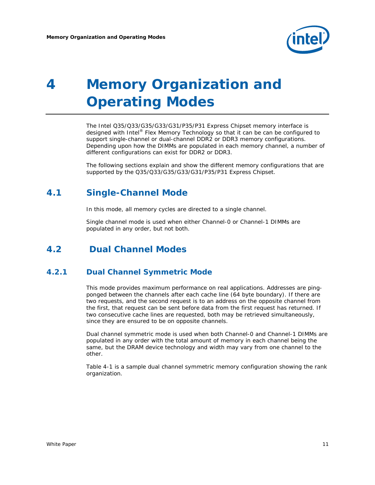

# <span id="page-10-0"></span>*4 Memory Organization and Operating Modes*

The Intel Q35/Q33/G35/G33/G31/P35/P31 Express Chipset memory interface is designed with Intel<sup>®</sup> Flex Memory Technology so that it can be can be configured to support single-channel or dual-channel DDR2 or DDR3 memory configurations. Depending upon how the DIMMs are populated in each memory channel, a number of different configurations can exist for DDR2 or DDR3.

The following sections explain and show the different memory configurations that are supported by the Q35/Q33/G35/G33/G31/P35/P31 Express Chipset.

#### **4.1 Single-Channel Mode**

In this mode, all memory cycles are directed to a single channel.

Single channel mode is used when either Channel-0 or Channel-1 DIMMs are populated in any order, but not both.

#### **4.2 Dual Channel Modes**

#### **4.2.1 Dual Channel Symmetric Mode**

This mode provides maximum performance on real applications. Addresses are pingponged between the channels after each cache line (64 byte boundary). If there are two requests, and the second request is to an address on the opposite channel from the first, that request can be sent before data from the first request has returned. If two consecutive cache lines are requested, both may be retrieved simultaneously, since they are ensured to be on opposite channels.

Dual channel symmetric mode is used when both Channel-0 and Channel-1 DIMMs are populated in any order with the total amount of memory in each channel being the same, but the DRAM device technology and width may vary from one channel to the other.

[Table 4-1](#page-11-0) is a sample dual channel symmetric memory configuration showing the rank organization.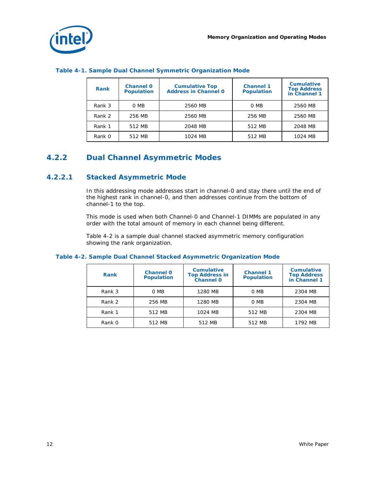<span id="page-11-0"></span>

| <b>Rank</b> | <b>Channel 0</b><br><b>Population</b> | <b>Cumulative Top</b><br><b>Address in Channel 0</b> | <b>Channel 1</b><br><b>Population</b> | Cumulative<br><b>Top Address<br/>in Channel 1</b> |
|-------------|---------------------------------------|------------------------------------------------------|---------------------------------------|---------------------------------------------------|
| Rank 3      | 0 MB                                  | 2560 MB                                              | 0 MB                                  | 2560 MB                                           |
| Rank 2      | 256 MB                                | 2560 MB                                              | 256 MB                                | 2560 MB                                           |
| Rank 1      | 512 MB                                | 2048 MB                                              | 512 MB                                | 2048 MB                                           |
| Rank 0      | 512 MB                                | 1024 MB                                              | 512 MB                                | 1024 MB                                           |

#### **Table 4-1. Sample Dual Channel Symmetric Organization Mode**

#### **4.2.2 Dual Channel Asymmetric Modes**

#### **4.2.2.1 Stacked Asymmetric Mode**

In this addressing mode addresses start in channel-0 and stay there until the end of the highest rank in channel-0, and then addresses continue from the bottom of channel-1 to the top.

This mode is used when both Channel-0 and Channel-1 DIMMs are populated in any order with the total amount of memory in each channel being different.

[Table 4-2](#page-11-0) is a sample dual channel stacked asymmetric memory configuration showing the rank organization.

| Rank   | <b>Channel 0</b><br><b>Population</b> | <b>Cumulative</b><br><b>Top Address in</b><br>Channel 0 | <b>Channel 1</b><br><b>Population</b> | Cumulative<br><b>Top Address</b><br>in Channel 1 |
|--------|---------------------------------------|---------------------------------------------------------|---------------------------------------|--------------------------------------------------|
| Rank 3 | 0 MB                                  | 1280 MB                                                 | 0 MB                                  | 2304 MB                                          |
| Rank 2 | 256 MB                                | 1280 MB                                                 | 0 MB                                  | 2304 MB                                          |
| Rank 1 | 512 MB                                | 1024 MB                                                 | 512 MB                                | 2304 MB                                          |
| Rank 0 | 512 MB                                | 512 MB                                                  | 512 MB                                | 1792 MB                                          |

#### **Table 4-2. Sample Dual Channel Stacked Asymmetric Organization Mode**